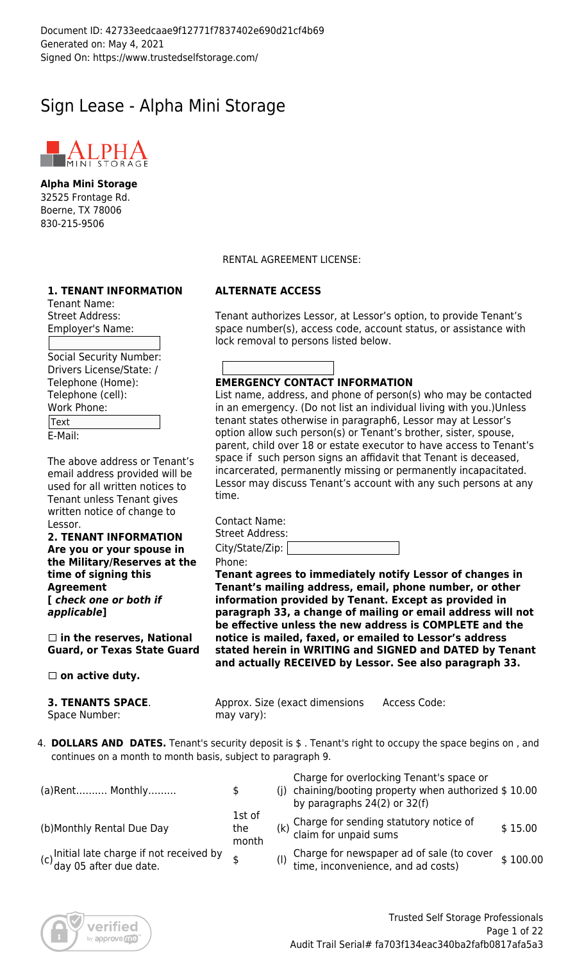# Sign Lease - Alpha Mini Storage



**Alpha Mini Storage** 32525 Frontage Rd. Boerne, TX 78006 830-215-9506

# **1. TENANT INFORMATION**

Tenant Name: Street Address: Employer's Name:

Social Security Number: Drivers License/State: / Telephone (Home): Telephone (cell): Work Phone: Text

E-Mail:

The above address or Tenant's email address provided will be used for all written notices to Tenant unless Tenant gives written notice of change to Lessor.

**2. TENANT INFORMATION Are you or your spouse in the Military/Reserves at the time of signing this Agreement [** *check one or both if applicable***]**

 **in the reserves, National Guard, or Texas State Guard**

 **on active duty.**

**3. TENANTS SPACE**. Space Number:

RENTAL AGREEMENT LICENSE:

# **ALTERNATE ACCESS**

Tenant authorizes Lessor, at Lessor's option, to provide Tenant's space number(s), access code, account status, or assistance with lock removal to persons listed below.

# **EMERGENCY CONTACT INFORMATION**

List name, address, and phone of person(s) who may be contacted in an emergency. (Do not list an individual living with you.)Unless tenant states otherwise in paragraph6, Lessor may at Lessor's option allow such person(s) or Tenant's brother, sister, spouse, parent, child over 18 or estate executor to have access to Tenant's space if such person signs an affidavit that Tenant is deceased, incarcerated, permanently missing or permanently incapacitated. Lessor may discuss Tenant's account with any such persons at any time.

Contact Name: Street Address:

| City/State/Zip: |  |
|-----------------|--|
| <b>DIAA14</b>   |  |

Phone:

**Tenant agrees to immediately notify Lessor of changes in Tenant's mailing address, email, phone number, or other information provided by Tenant. Except as provided in paragraph 33, a change of mailing or email address will not be effective unless the new address is COMPLETE and the notice is mailed, faxed, or emailed to Lessor's address stated herein in WRITING and SIGNED and DATED by Tenant and actually RECEIVED by Lessor. See also paragraph 33.**

Approx. Size (exact dimensions may vary): Access Code:

4. **DOLLARS AND DATES.** Tenant's security deposit is \$ . Tenant's right to occupy the space begins on , and continues on a month to month basis, subject to paragraph 9.

| (a) Rent Monthly                                                     | S.                     | Charge for overlocking Tenant's space or<br>(j) chaining/booting property when authorized $$10.00$<br>by paragraphs 24(2) or 32(f) |          |
|----------------------------------------------------------------------|------------------------|------------------------------------------------------------------------------------------------------------------------------------|----------|
| (b)Monthly Rental Due Day                                            | 1st of<br>the<br>month | (k) Charge for sending statutory notice of<br>claim for unpaid sums                                                                | \$15.00  |
| (c) Initial late charge if not received by<br>day 05 after due date. |                        | (I) Charge for newspaper ad of sale (to cover<br>time, inconvenience, and ad costs)                                                | \$100.00 |

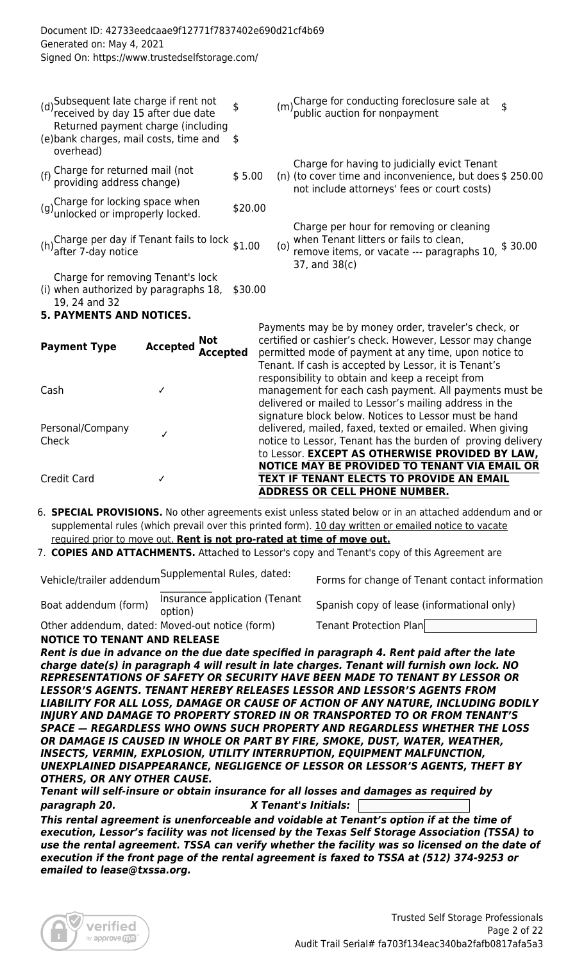| (d) Subsequent late charge if rent not<br>received by day 15 after due date<br>Returned payment charge (including<br>(e) bank charges, mail costs, time and | \$<br>-\$ |     | (m) Charge for conducting foreclosure sale at<br>(m) public auction for nonpayment                                                                      |         |
|-------------------------------------------------------------------------------------------------------------------------------------------------------------|-----------|-----|---------------------------------------------------------------------------------------------------------------------------------------------------------|---------|
| overhead)                                                                                                                                                   |           |     |                                                                                                                                                         |         |
| (f) Charge for returned mail (not<br>providing address change)                                                                                              | \$5.00    |     | Charge for having to judicially evict Tenant<br>(n) (to cover time and inconvenience, but does \$ 250.00<br>not include attorneys' fees or court costs) |         |
| (g) Charge for locking space when<br>unlocked or improperly locked.                                                                                         | \$20.00   |     |                                                                                                                                                         |         |
| (h) Charge per day if Tenant fails to lock $$1.00$<br>after 7-day notice                                                                                    |           | (o) | Charge per hour for removing or cleaning<br>when Tenant litters or fails to clean,<br>remove items, or vacate --- paragraphs 10,<br>37, and 38(c)       | \$30.00 |
| Charge for removing Tenant's lock<br>(i) when authorized by paragraphs 18, \$30.00<br>19, 24 and 32<br><b>5. PAYMENTS AND NOTICES.</b>                      |           |     |                                                                                                                                                         |         |
|                                                                                                                                                             |           |     |                                                                                                                                                         |         |

| <b>Payment Type</b>       | <b>Not</b><br><b>Accepted</b><br><b>Accepted</b> | Payments may be by money order, traveler's check, or<br>certified or cashier's check. However, Lessor may change<br>permitted mode of payment at any time, upon notice to<br>Tenant. If cash is accepted by Lessor, it is Tenant's  |
|---------------------------|--------------------------------------------------|-------------------------------------------------------------------------------------------------------------------------------------------------------------------------------------------------------------------------------------|
| Cash                      |                                                  | responsibility to obtain and keep a receipt from<br>management for each cash payment. All payments must be<br>delivered or mailed to Lessor's mailing address in the                                                                |
| Personal/Company<br>Check |                                                  | signature block below. Notices to Lessor must be hand<br>delivered, mailed, faxed, texted or emailed. When giving<br>notice to Lessor, Tenant has the burden of proving delivery<br>to Lessor. EXCEPT AS OTHERWISE PROVIDED BY LAW, |
| <b>Credit Card</b>        |                                                  | NOTICE MAY BE PROVIDED TO TENANT VIA EMAIL OR<br>TEXT IF TENANT ELECTS TO PROVIDE AN EMAIL<br><b>ADDRESS OR CELL PHONE NUMBER.</b>                                                                                                  |

- 6. **SPECIAL PROVISIONS.** No other agreements exist unless stated below or in an attached addendum and or supplemental rules (which prevail over this printed form). 10 day written or emailed notice to vacate required prior to move out. **Rent is not pro-rated at time of move out.**
- 7. **COPIES AND ATTACHMENTS.** Attached to Lessor's copy and Tenant's copy of this Agreement are

Vehicle/trailer addendum Supplemental Rules, dated:<br>

Forms for change of Tenant contact information

Boat addendum (form) lnsurance application (Tenant<br>option) Spanish copy of lease (informational only)

Other addendum, dated: Moved-out notice (form) Tenant Protection Plan **NOTICE TO TENANT AND RELEASE**

*Rent is due in advance on the due date specified in paragraph 4. Rent paid after the late charge date(s) in paragraph 4 will result in late charges. Tenant will furnish own lock. NO REPRESENTATIONS OF SAFETY OR SECURITY HAVE BEEN MADE TO TENANT BY LESSOR OR LESSOR'S AGENTS. TENANT HEREBY RELEASES LESSOR AND LESSOR'S AGENTS FROM LIABILITY FOR ALL LOSS, DAMAGE OR CAUSE OF ACTION OF ANY NATURE, INCLUDING BODILY INJURY AND DAMAGE TO PROPERTY STORED IN OR TRANSPORTED TO OR FROM TENANT'S SPACE — REGARDLESS WHO OWNS SUCH PROPERTY AND REGARDLESS WHETHER THE LOSS OR DAMAGE IS CAUSED IN WHOLE OR PART BY FIRE, SMOKE, DUST, WATER, WEATHER, INSECTS, VERMIN, EXPLOSION, UTILITY INTERRUPTION, EQUIPMENT MALFUNCTION, UNEXPLAINED DISAPPEARANCE, NEGLIGENCE OF LESSOR OR LESSOR'S AGENTS, THEFT BY OTHERS, OR ANY OTHER CAUSE.*

*Tenant will self-insure or obtain insurance for all losses and damages as required by paragraph 20. X Tenant's Initials:* 

*This rental agreement is unenforceable and voidable at Tenant's option if at the time of execution, Lessor's facility was not licensed by the Texas Self Storage Association (TSSA) to use the rental agreement. TSSA can verify whether the facility was so licensed on the date of execution if the front page of the rental agreement is faxed to TSSA at (512) 374-9253 or emailed to lease@txssa.org.*

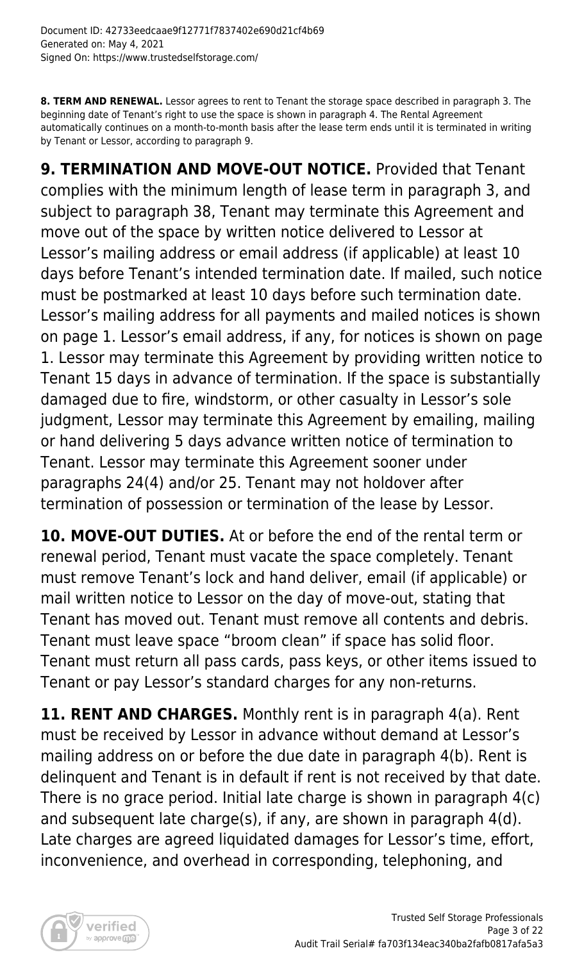**8. TERM AND RENEWAL.** Lessor agrees to rent to Tenant the storage space described in paragraph 3. The beginning date of Tenant's right to use the space is shown in paragraph 4. The Rental Agreement automatically continues on a month-to-month basis after the lease term ends until it is terminated in writing by Tenant or Lessor, according to paragraph 9.

**9. TERMINATION AND MOVE-OUT NOTICE.** Provided that Tenant complies with the minimum length of lease term in paragraph 3, and subject to paragraph 38, Tenant may terminate this Agreement and move out of the space by written notice delivered to Lessor at Lessor's mailing address or email address (if applicable) at least 10 days before Tenant's intended termination date. If mailed, such notice must be postmarked at least 10 days before such termination date. Lessor's mailing address for all payments and mailed notices is shown on page 1. Lessor's email address, if any, for notices is shown on page 1. Lessor may terminate this Agreement by providing written notice to Tenant 15 days in advance of termination. If the space is substantially damaged due to fire, windstorm, or other casualty in Lessor's sole judgment, Lessor may terminate this Agreement by emailing, mailing or hand delivering 5 days advance written notice of termination to Tenant. Lessor may terminate this Agreement sooner under paragraphs 24(4) and/or 25. Tenant may not holdover after termination of possession or termination of the lease by Lessor.

**10. MOVE-OUT DUTIES.** At or before the end of the rental term or renewal period, Tenant must vacate the space completely. Tenant must remove Tenant's lock and hand deliver, email (if applicable) or mail written notice to Lessor on the day of move-out, stating that Tenant has moved out. Tenant must remove all contents and debris. Tenant must leave space "broom clean" if space has solid floor. Tenant must return all pass cards, pass keys, or other items issued to Tenant or pay Lessor's standard charges for any non-returns.

**11. RENT AND CHARGES.** Monthly rent is in paragraph 4(a). Rent must be received by Lessor in advance without demand at Lessor's mailing address on or before the due date in paragraph 4(b). Rent is delinquent and Tenant is in default if rent is not received by that date. There is no grace period. Initial late charge is shown in paragraph 4(c) and subsequent late charge(s), if any, are shown in paragraph 4(d). Late charges are agreed liquidated damages for Lessor's time, effort, inconvenience, and overhead in corresponding, telephoning, and

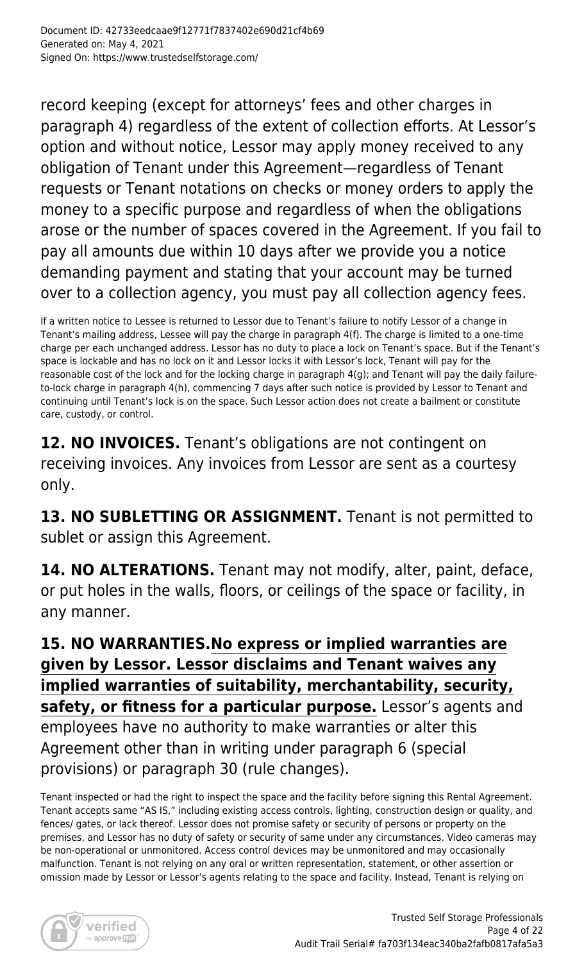record keeping (except for attorneys' fees and other charges in paragraph 4) regardless of the extent of collection efforts. At Lessor's option and without notice, Lessor may apply money received to any obligation of Tenant under this Agreement—regardless of Tenant requests or Tenant notations on checks or money orders to apply the money to a specific purpose and regardless of when the obligations arose or the number of spaces covered in the Agreement. If you fail to pay all amounts due within 10 days after we provide you a notice demanding payment and stating that your account may be turned over to a collection agency, you must pay all collection agency fees.

If a written notice to Lessee is returned to Lessor due to Tenant's failure to notify Lessor of a change in Tenant's mailing address, Lessee will pay the charge in paragraph 4(f). The charge is limited to a one-time charge per each unchanged address. Lessor has no duty to place a lock on Tenant's space. But if the Tenant's space is lockable and has no lock on it and Lessor locks it with Lessor's lock, Tenant will pay for the reasonable cost of the lock and for the locking charge in paragraph 4(g); and Tenant will pay the daily failureto-lock charge in paragraph 4(h), commencing 7 days after such notice is provided by Lessor to Tenant and continuing until Tenant's lock is on the space. Such Lessor action does not create a bailment or constitute care, custody, or control.

**12. NO INVOICES.** Tenant's obligations are not contingent on receiving invoices. Any invoices from Lessor are sent as a courtesy only.

**13. NO SUBLETTING OR ASSIGNMENT.** Tenant is not permitted to sublet or assign this Agreement.

**14. NO ALTERATIONS.** Tenant may not modify, alter, paint, deface, or put holes in the walls, floors, or ceilings of the space or facility, in any manner.

**15. NO WARRANTIES.No express or implied warranties are given by Lessor. Lessor disclaims and Tenant waives any implied warranties of suitability, merchantability, security, safety, or fitness for a particular purpose.** Lessor's agents and employees have no authority to make warranties or alter this Agreement other than in writing under paragraph 6 (special provisions) or paragraph 30 (rule changes).

Tenant inspected or had the right to inspect the space and the facility before signing this Rental Agreement. Tenant accepts same "AS IS," including existing access controls, lighting, construction design or quality, and fences/ gates, or lack thereof. Lessor does not promise safety or security of persons or property on the premises, and Lessor has no duty of safety or security of same under any circumstances. Video cameras may be non-operational or unmonitored. Access control devices may be unmonitored and may occasionally malfunction. Tenant is not relying on any oral or written representation, statement, or other assertion or omission made by Lessor or Lessor's agents relating to the space and facility. Instead, Tenant is relying on

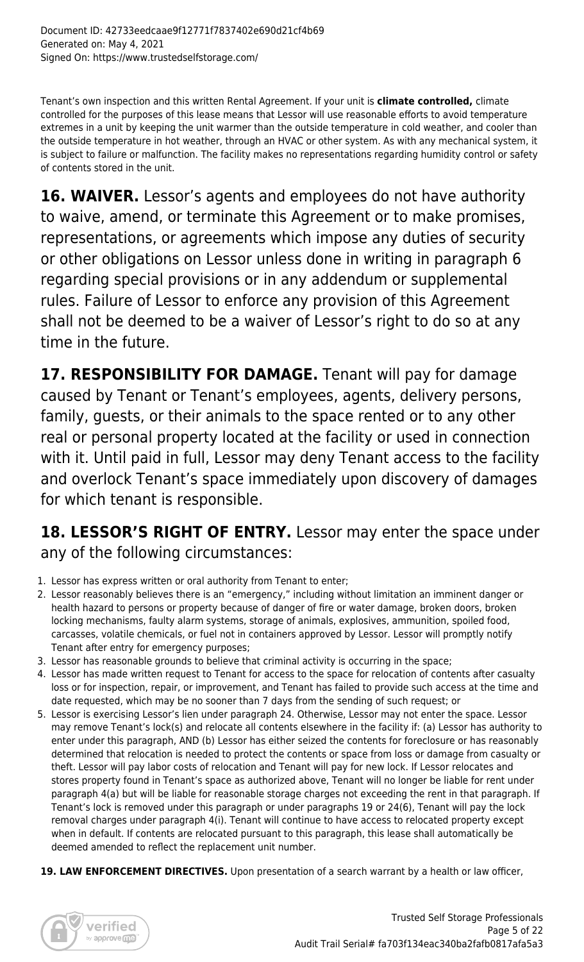Tenant's own inspection and this written Rental Agreement. If your unit is **climate controlled,** climate controlled for the purposes of this lease means that Lessor will use reasonable efforts to avoid temperature extremes in a unit by keeping the unit warmer than the outside temperature in cold weather, and cooler than the outside temperature in hot weather, through an HVAC or other system. As with any mechanical system, it is subject to failure or malfunction. The facility makes no representations regarding humidity control or safety of contents stored in the unit.

**16. WAIVER.** Lessor's agents and employees do not have authority to waive, amend, or terminate this Agreement or to make promises, representations, or agreements which impose any duties of security or other obligations on Lessor unless done in writing in paragraph 6 regarding special provisions or in any addendum or supplemental rules. Failure of Lessor to enforce any provision of this Agreement shall not be deemed to be a waiver of Lessor's right to do so at any time in the future.

**17. RESPONSIBILITY FOR DAMAGE.** Tenant will pay for damage caused by Tenant or Tenant's employees, agents, delivery persons, family, guests, or their animals to the space rented or to any other real or personal property located at the facility or used in connection with it. Until paid in full, Lessor may deny Tenant access to the facility and overlock Tenant's space immediately upon discovery of damages for which tenant is responsible.

# 18. LESSOR'S RIGHT OF ENTRY. Lessor may enter the space under any of the following circumstances:

- 1. Lessor has express written or oral authority from Tenant to enter;
- 2. Lessor reasonably believes there is an "emergency," including without limitation an imminent danger or health hazard to persons or property because of danger of fire or water damage, broken doors, broken locking mechanisms, faulty alarm systems, storage of animals, explosives, ammunition, spoiled food, carcasses, volatile chemicals, or fuel not in containers approved by Lessor. Lessor will promptly notify Tenant after entry for emergency purposes;
- 3. Lessor has reasonable grounds to believe that criminal activity is occurring in the space;
- 4. Lessor has made written request to Tenant for access to the space for relocation of contents after casualty loss or for inspection, repair, or improvement, and Tenant has failed to provide such access at the time and date requested, which may be no sooner than 7 days from the sending of such request; or
- 5. Lessor is exercising Lessor's lien under paragraph 24. Otherwise, Lessor may not enter the space. Lessor may remove Tenant's lock(s) and relocate all contents elsewhere in the facility if: (a) Lessor has authority to enter under this paragraph, AND (b) Lessor has either seized the contents for foreclosure or has reasonably determined that relocation is needed to protect the contents or space from loss or damage from casualty or theft. Lessor will pay labor costs of relocation and Tenant will pay for new lock. If Lessor relocates and stores property found in Tenant's space as authorized above, Tenant will no longer be liable for rent under paragraph 4(a) but will be liable for reasonable storage charges not exceeding the rent in that paragraph. If Tenant's lock is removed under this paragraph or under paragraphs 19 or 24(6), Tenant will pay the lock removal charges under paragraph 4(i). Tenant will continue to have access to relocated property except when in default. If contents are relocated pursuant to this paragraph, this lease shall automatically be deemed amended to reflect the replacement unit number.
- 19. LAW ENFORCEMENT DIRECTIVES. Upon presentation of a search warrant by a health or law officer,

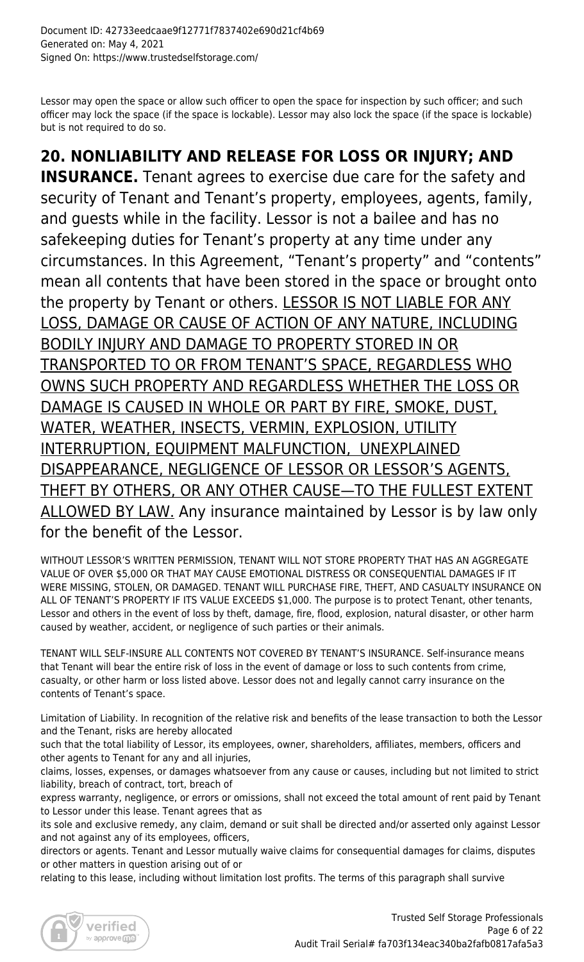Lessor may open the space or allow such officer to open the space for inspection by such officer; and such officer may lock the space (if the space is lockable). Lessor may also lock the space (if the space is lockable) but is not required to do so.

**20. NONLIABILITY AND RELEASE FOR LOSS OR INJURY; AND INSURANCE.** Tenant agrees to exercise due care for the safety and security of Tenant and Tenant's property, employees, agents, family, and guests while in the facility. Lessor is not a bailee and has no safekeeping duties for Tenant's property at any time under any circumstances. In this Agreement, "Tenant's property" and "contents" mean all contents that have been stored in the space or brought onto the property by Tenant or others. LESSOR IS NOT LIABLE FOR ANY LOSS, DAMAGE OR CAUSE OF ACTION OF ANY NATURE, INCLUDING BODILY INJURY AND DAMAGE TO PROPERTY STORED IN OR TRANSPORTED TO OR FROM TENANT'S SPACE, REGARDLESS WHO OWNS SUCH PROPERTY AND REGARDLESS WHETHER THE LOSS OR DAMAGE IS CAUSED IN WHOLE OR PART BY FIRE, SMOKE, DUST, WATER, WEATHER, INSECTS, VERMIN, EXPLOSION, UTILITY INTERRUPTION, EQUIPMENT MALFUNCTION, UNEXPLAINED DISAPPEARANCE, NEGLIGENCE OF LESSOR OR LESSOR'S AGENTS, THEFT BY OTHERS, OR ANY OTHER CAUSE—TO THE FULLEST EXTENT ALLOWED BY LAW. Any insurance maintained by Lessor is by law only for the benefit of the Lessor.

WITHOUT LESSOR'S WRITTEN PERMISSION, TENANT WILL NOT STORE PROPERTY THAT HAS AN AGGREGATE VALUE OF OVER \$5,000 OR THAT MAY CAUSE EMOTIONAL DISTRESS OR CONSEQUENTIAL DAMAGES IF IT WERE MISSING, STOLEN, OR DAMAGED. TENANT WILL PURCHASE FIRE, THEFT, AND CASUALTY INSURANCE ON ALL OF TENANT'S PROPERTY IF ITS VALUE EXCEEDS \$1,000. The purpose is to protect Tenant, other tenants, Lessor and others in the event of loss by theft, damage, fire, flood, explosion, natural disaster, or other harm caused by weather, accident, or negligence of such parties or their animals.

TENANT WILL SELF-INSURE ALL CONTENTS NOT COVERED BY TENANT'S INSURANCE. Self-insurance means that Tenant will bear the entire risk of loss in the event of damage or loss to such contents from crime, casualty, or other harm or loss listed above. Lessor does not and legally cannot carry insurance on the contents of Tenant's space.

Limitation of Liability. In recognition of the relative risk and benefits of the lease transaction to both the Lessor and the Tenant, risks are hereby allocated

such that the total liability of Lessor, its employees, owner, shareholders, affiliates, members, officers and other agents to Tenant for any and all injuries,

claims, losses, expenses, or damages whatsoever from any cause or causes, including but not limited to strict liability, breach of contract, tort, breach of

express warranty, negligence, or errors or omissions, shall not exceed the total amount of rent paid by Tenant to Lessor under this lease. Tenant agrees that as

its sole and exclusive remedy, any claim, demand or suit shall be directed and/or asserted only against Lessor and not against any of its employees, officers,

directors or agents. Tenant and Lessor mutually waive claims for consequential damages for claims, disputes or other matters in question arising out of or

relating to this lease, including without limitation lost profits. The terms of this paragraph shall survive

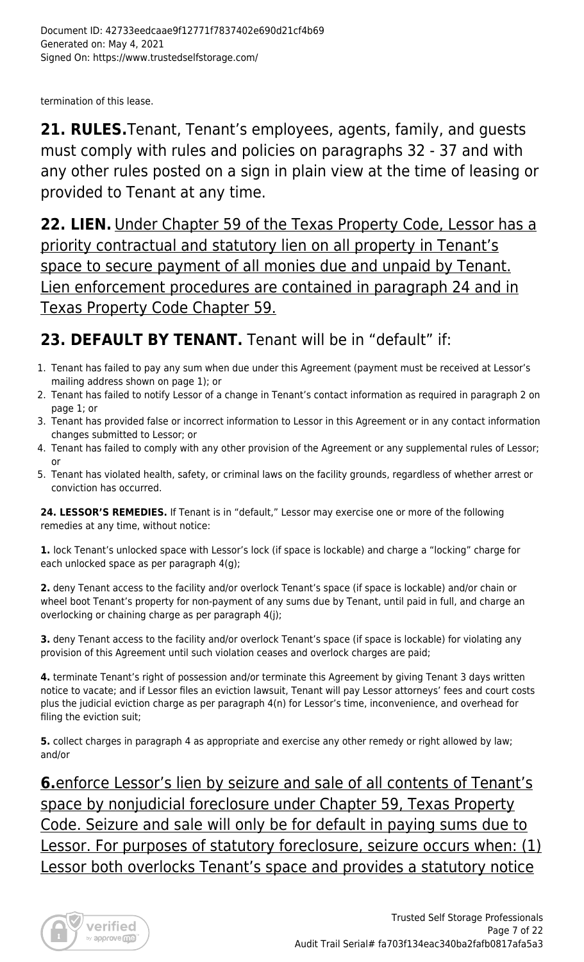termination of this lease.

**21. RULES.**Tenant, Tenant's employees, agents, family, and guests must comply with rules and policies on paragraphs 32 - 37 and with any other rules posted on a sign in plain view at the time of leasing or provided to Tenant at any time.

**22. LIEN.** Under Chapter 59 of the Texas Property Code, Lessor has a priority contractual and statutory lien on all property in Tenant's space to secure payment of all monies due and unpaid by Tenant. Lien enforcement procedures are contained in paragraph 24 and in Texas Property Code Chapter 59.

# 23. DEFAULT BY TENANT. Tenant will be in "default" if:

- 1. Tenant has failed to pay any sum when due under this Agreement (payment must be received at Lessor's mailing address shown on page 1); or
- 2. Tenant has failed to notify Lessor of a change in Tenant's contact information as required in paragraph 2 on page 1; or
- 3. Tenant has provided false or incorrect information to Lessor in this Agreement or in any contact information changes submitted to Lessor; or
- 4. Tenant has failed to comply with any other provision of the Agreement or any supplemental rules of Lessor; or
- 5. Tenant has violated health, safety, or criminal laws on the facility grounds, regardless of whether arrest or conviction has occurred.

**24. LESSOR'S REMEDIES.** If Tenant is in "default," Lessor may exercise one or more of the following remedies at any time, without notice:

**1.** lock Tenant's unlocked space with Lessor's lock (if space is lockable) and charge a "locking" charge for each unlocked space as per paragraph 4(g);

**2.** deny Tenant access to the facility and/or overlock Tenant's space (if space is lockable) and/or chain or wheel boot Tenant's property for non-payment of any sums due by Tenant, until paid in full, and charge an overlocking or chaining charge as per paragraph 4(j);

**3.** deny Tenant access to the facility and/or overlock Tenant's space (if space is lockable) for violating any provision of this Agreement until such violation ceases and overlock charges are paid;

**4.** terminate Tenant's right of possession and/or terminate this Agreement by giving Tenant 3 days written notice to vacate; and if Lessor files an eviction lawsuit, Tenant will pay Lessor attorneys' fees and court costs plus the judicial eviction charge as per paragraph 4(n) for Lessor's time, inconvenience, and overhead for filing the eviction suit;

**5.** collect charges in paragraph 4 as appropriate and exercise any other remedy or right allowed by law; and/or

**6.**enforce Lessor's lien by seizure and sale of all contents of Tenant's space by nonjudicial foreclosure under Chapter 59, Texas Property Code. Seizure and sale will only be for default in paying sums due to Lessor. For purposes of statutory foreclosure, seizure occurs when: (1) Lessor both overlocks Tenant's space and provides a statutory notice

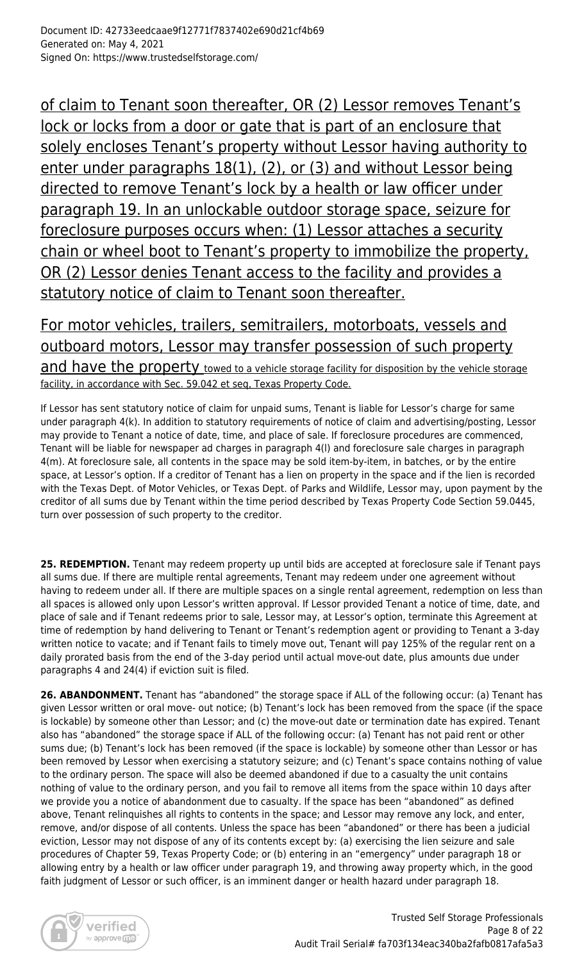of claim to Tenant soon thereafter, OR (2) Lessor removes Tenant's lock or locks from a door or gate that is part of an enclosure that solely encloses Tenant's property without Lessor having authority to enter under paragraphs 18(1), (2), or (3) and without Lessor being directed to remove Tenant's lock by a health or law officer under paragraph 19. In an unlockable outdoor storage space, seizure for foreclosure purposes occurs when: (1) Lessor attaches a security chain or wheel boot to Tenant's property to immobilize the property, OR (2) Lessor denies Tenant access to the facility and provides a statutory notice of claim to Tenant soon thereafter.

For motor vehicles, trailers, semitrailers, motorboats, vessels and outboard motors, Lessor may transfer possession of such property and have the property towed to a vehicle storage facility for disposition by the vehicle storage facility, in accordance with Sec. 59.042 et seq, Texas Property Code.

If Lessor has sent statutory notice of claim for unpaid sums, Tenant is liable for Lessor's charge for same under paragraph 4(k). In addition to statutory requirements of notice of claim and advertising/posting, Lessor may provide to Tenant a notice of date, time, and place of sale. If foreclosure procedures are commenced, Tenant will be liable for newspaper ad charges in paragraph 4(l) and foreclosure sale charges in paragraph 4(m). At foreclosure sale, all contents in the space may be sold item-by-item, in batches, or by the entire space, at Lessor's option. If a creditor of Tenant has a lien on property in the space and if the lien is recorded with the Texas Dept. of Motor Vehicles, or Texas Dept. of Parks and Wildlife, Lessor may, upon payment by the creditor of all sums due by Tenant within the time period described by Texas Property Code Section 59.0445, turn over possession of such property to the creditor.

25. REDEMPTION. Tenant may redeem property up until bids are accepted at foreclosure sale if Tenant pays all sums due. If there are multiple rental agreements, Tenant may redeem under one agreement without having to redeem under all. If there are multiple spaces on a single rental agreement, redemption on less than all spaces is allowed only upon Lessor's written approval. If Lessor provided Tenant a notice of time, date, and place of sale and if Tenant redeems prior to sale, Lessor may, at Lessor's option, terminate this Agreement at time of redemption by hand delivering to Tenant or Tenant's redemption agent or providing to Tenant a 3-day written notice to vacate; and if Tenant fails to timely move out, Tenant will pay 125% of the regular rent on a daily prorated basis from the end of the 3-day period until actual move-out date, plus amounts due under paragraphs 4 and 24(4) if eviction suit is filed.

26. ABANDONMENT. Tenant has "abandoned" the storage space if ALL of the following occur: (a) Tenant has given Lessor written or oral move- out notice; (b) Tenant's lock has been removed from the space (if the space is lockable) by someone other than Lessor; and (c) the move-out date or termination date has expired. Tenant also has "abandoned" the storage space if ALL of the following occur: (a) Tenant has not paid rent or other sums due; (b) Tenant's lock has been removed (if the space is lockable) by someone other than Lessor or has been removed by Lessor when exercising a statutory seizure; and (c) Tenant's space contains nothing of value to the ordinary person. The space will also be deemed abandoned if due to a casualty the unit contains nothing of value to the ordinary person, and you fail to remove all items from the space within 10 days after we provide you a notice of abandonment due to casualty. If the space has been "abandoned" as defined above, Tenant relinquishes all rights to contents in the space; and Lessor may remove any lock, and enter, remove, and/or dispose of all contents. Unless the space has been "abandoned" or there has been a judicial eviction, Lessor may not dispose of any of its contents except by: (a) exercising the lien seizure and sale procedures of Chapter 59, Texas Property Code; or (b) entering in an "emergency" under paragraph 18 or allowing entry by a health or law officer under paragraph 19, and throwing away property which, in the good faith judgment of Lessor or such officer, is an imminent danger or health hazard under paragraph 18.

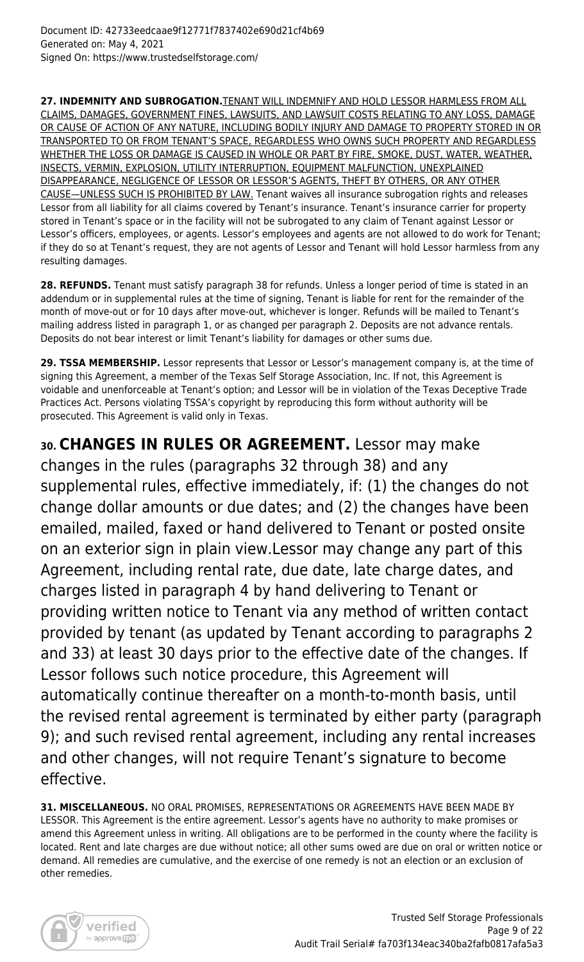**27. INDEMNITY AND SUBROGATION.**TENANT WILL INDEMNIFY AND HOLD LESSOR HARMLESS FROM ALL CLAIMS, DAMAGES, GOVERNMENT FINES, LAWSUITS, AND LAWSUIT COSTS RELATING TO ANY LOSS, DAMAGE OR CAUSE OF ACTION OF ANY NATURE, INCLUDING BODILY INJURY AND DAMAGE TO PROPERTY STORED IN OR TRANSPORTED TO OR FROM TENANT'S SPACE, REGARDLESS WHO OWNS SUCH PROPERTY AND REGARDLESS WHETHER THE LOSS OR DAMAGE IS CAUSED IN WHOLE OR PART BY FIRE, SMOKE, DUST, WATER, WEATHER, INSECTS, VERMIN, EXPLOSION, UTILITY INTERRUPTION, EQUIPMENT MALFUNCTION, UNEXPLAINED DISAPPEARANCE, NEGLIGENCE OF LESSOR OR LESSOR'S AGENTS, THEFT BY OTHERS, OR ANY OTHER CAUSE—UNLESS SUCH IS PROHIBITED BY LAW. Tenant waives all insurance subrogation rights and releases Lessor from all liability for all claims covered by Tenant's insurance. Tenant's insurance carrier for property stored in Tenant's space or in the facility will not be subrogated to any claim of Tenant against Lessor or Lessor's officers, employees, or agents. Lessor's employees and agents are not allowed to do work for Tenant; if they do so at Tenant's request, they are not agents of Lessor and Tenant will hold Lessor harmless from any resulting damages.

**28. REFUNDS.** Tenant must satisfy paragraph 38 for refunds. Unless a longer period of time is stated in an addendum or in supplemental rules at the time of signing, Tenant is liable for rent for the remainder of the month of move-out or for 10 days after move-out, whichever is longer. Refunds will be mailed to Tenant's mailing address listed in paragraph 1, or as changed per paragraph 2. Deposits are not advance rentals. Deposits do not bear interest or limit Tenant's liability for damages or other sums due.

29. TSSA MEMBERSHIP. Lessor represents that Lessor or Lessor's management company is, at the time of signing this Agreement, a member of the Texas Self Storage Association, Inc. If not, this Agreement is voidable and unenforceable at Tenant's option; and Lessor will be in violation of the Texas Deceptive Trade Practices Act. Persons violating TSSA's copyright by reproducing this form without authority will be prosecuted. This Agreement is valid only in Texas.

**30. CHANGES IN RULES OR AGREEMENT.** Lessor may make changes in the rules (paragraphs 32 through 38) and any supplemental rules, effective immediately, if: (1) the changes do not change dollar amounts or due dates; and (2) the changes have been emailed, mailed, faxed or hand delivered to Tenant or posted onsite on an exterior sign in plain view.Lessor may change any part of this Agreement, including rental rate, due date, late charge dates, and charges listed in paragraph 4 by hand delivering to Tenant or providing written notice to Tenant via any method of written contact provided by tenant (as updated by Tenant according to paragraphs 2 and 33) at least 30 days prior to the effective date of the changes. If Lessor follows such notice procedure, this Agreement will automatically continue thereafter on a month-to-month basis, until the revised rental agreement is terminated by either party (paragraph 9); and such revised rental agreement, including any rental increases and other changes, will not require Tenant's signature to become effective.

**31. MISCELLANEOUS.** NO ORAL PROMISES, REPRESENTATIONS OR AGREEMENTS HAVE BEEN MADE BY LESSOR. This Agreement is the entire agreement. Lessor's agents have no authority to make promises or amend this Agreement unless in writing. All obligations are to be performed in the county where the facility is located. Rent and late charges are due without notice; all other sums owed are due on oral or written notice or demand. All remedies are cumulative, and the exercise of one remedy is not an election or an exclusion of other remedies.

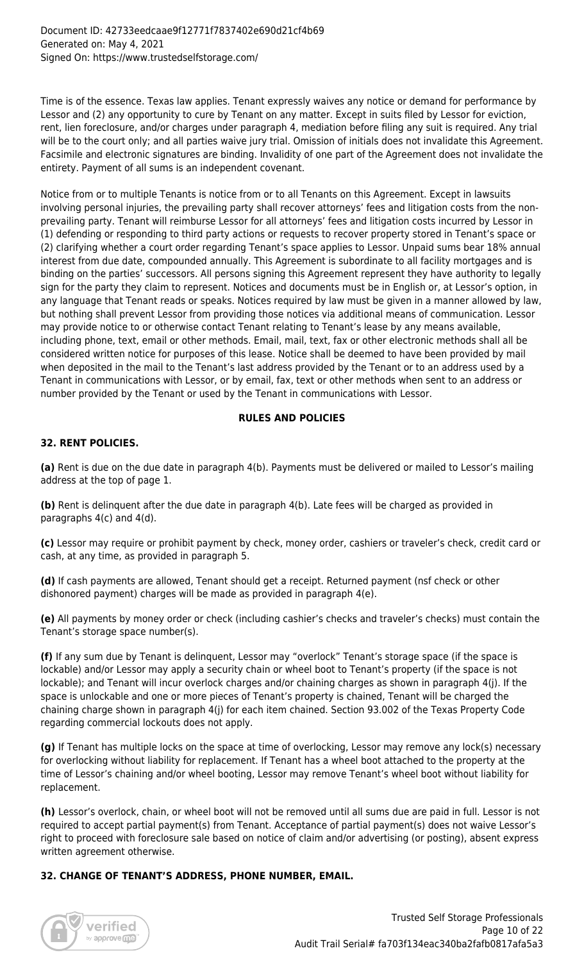#### Document ID: 42733eedcaae9f12771f7837402e690d21cf4b69 Generated on: May 4, 2021 Signed On: https://www.trustedselfstorage.com/

Time is of the essence. Texas law applies. Tenant expressly waives any notice or demand for performance by Lessor and (2) any opportunity to cure by Tenant on any matter. Except in suits filed by Lessor for eviction, rent, lien foreclosure, and/or charges under paragraph 4, mediation before filing any suit is required. Any trial will be to the court only; and all parties waive jury trial. Omission of initials does not invalidate this Agreement. Facsimile and electronic signatures are binding. Invalidity of one part of the Agreement does not invalidate the entirety. Payment of all sums is an independent covenant.

Notice from or to multiple Tenants is notice from or to all Tenants on this Agreement. Except in lawsuits involving personal injuries, the prevailing party shall recover attorneys' fees and litigation costs from the nonprevailing party. Tenant will reimburse Lessor for all attorneys' fees and litigation costs incurred by Lessor in (1) defending or responding to third party actions or requests to recover property stored in Tenant's space or (2) clarifying whether a court order regarding Tenant's space applies to Lessor. Unpaid sums bear 18% annual interest from due date, compounded annually. This Agreement is subordinate to all facility mortgages and is binding on the parties' successors. All persons signing this Agreement represent they have authority to legally sign for the party they claim to represent. Notices and documents must be in English or, at Lessor's option, in any language that Tenant reads or speaks. Notices required by law must be given in a manner allowed by law, but nothing shall prevent Lessor from providing those notices via additional means of communication. Lessor may provide notice to or otherwise contact Tenant relating to Tenant's lease by any means available, including phone, text, email or other methods. Email, mail, text, fax or other electronic methods shall all be considered written notice for purposes of this lease. Notice shall be deemed to have been provided by mail when deposited in the mail to the Tenant's last address provided by the Tenant or to an address used by a Tenant in communications with Lessor, or by email, fax, text or other methods when sent to an address or number provided by the Tenant or used by the Tenant in communications with Lessor.

# **RULES AND POLICIES**

# **32. RENT POLICIES.**

**(a)** Rent is due on the due date in paragraph 4(b). Payments must be delivered or mailed to Lessor's mailing address at the top of page 1.

**(b)** Rent is delinquent after the due date in paragraph 4(b). Late fees will be charged as provided in paragraphs 4(c) and 4(d).

**(c)** Lessor may require or prohibit payment by check, money order, cashiers or traveler's check, credit card or cash, at any time, as provided in paragraph 5.

**(d)** If cash payments are allowed, Tenant should get a receipt. Returned payment (nsf check or other dishonored payment) charges will be made as provided in paragraph 4(e).

**(e)** All payments by money order or check (including cashier's checks and traveler's checks) must contain the Tenant's storage space number(s).

**(f)** If any sum due by Tenant is delinquent, Lessor may "overlock" Tenant's storage space (if the space is lockable) and/or Lessor may apply a security chain or wheel boot to Tenant's property (if the space is not lockable); and Tenant will incur overlock charges and/or chaining charges as shown in paragraph 4(j). If the space is unlockable and one or more pieces of Tenant's property is chained, Tenant will be charged the chaining charge shown in paragraph 4(j) for each item chained. Section 93.002 of the Texas Property Code regarding commercial lockouts does not apply.

**(g)** If Tenant has multiple locks on the space at time of overlocking, Lessor may remove any lock(s) necessary for overlocking without liability for replacement. If Tenant has a wheel boot attached to the property at the time of Lessor's chaining and/or wheel booting, Lessor may remove Tenant's wheel boot without liability for replacement.

**(h)** Lessor's overlock, chain, or wheel boot will not be removed until all sums due are paid in full. Lessor is not required to accept partial payment(s) from Tenant. Acceptance of partial payment(s) does not waive Lessor's right to proceed with foreclosure sale based on notice of claim and/or advertising (or posting), absent express written agreement otherwise.

## **32. CHANGE OF TENANT'S ADDRESS, PHONE NUMBER, EMAIL.**

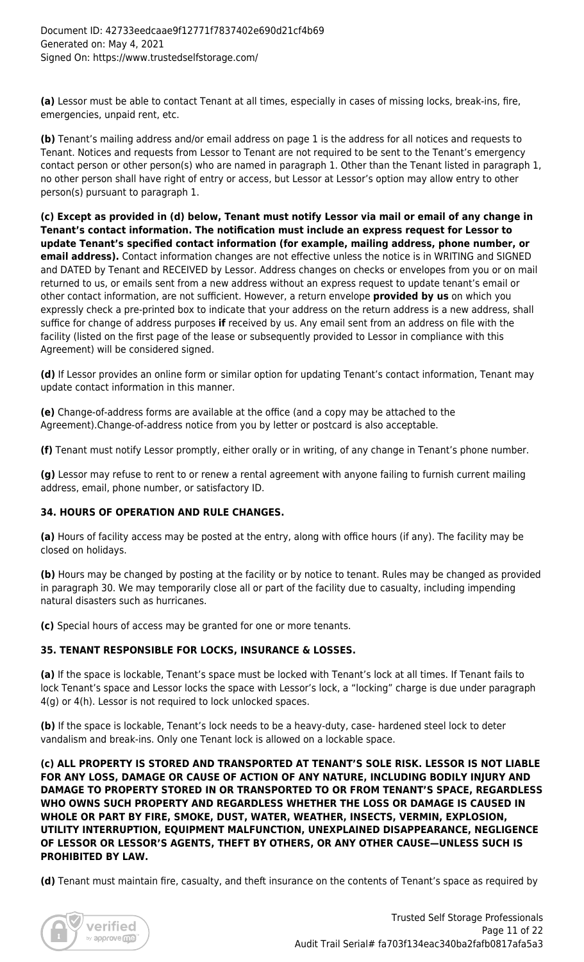**(a)** Lessor must be able to contact Tenant at all times, especially in cases of missing locks, break-ins, fire, emergencies, unpaid rent, etc.

**(b)** Tenant's mailing address and/or email address on page 1 is the address for all notices and requests to Tenant. Notices and requests from Lessor to Tenant are not required to be sent to the Tenant's emergency contact person or other person(s) who are named in paragraph 1. Other than the Tenant listed in paragraph 1, no other person shall have right of entry or access, but Lessor at Lessor's option may allow entry to other person(s) pursuant to paragraph 1.

**(c) Except as provided in (d) below, Tenant must notify Lessor via mail or email of any change in Tenant's contact information. The notification must include an express request for Lessor to update Tenant's specified contact information (for example, mailing address, phone number, or email address).** Contact information changes are not effective unless the notice is in WRITING and SIGNED and DATED by Tenant and RECEIVED by Lessor. Address changes on checks or envelopes from you or on mail returned to us, or emails sent from a new address without an express request to update tenant's email or other contact information, are not sufficient. However, a return envelope **provided by us** on which you expressly check a pre-printed box to indicate that your address on the return address is a new address, shall suffice for change of address purposes **if** received by us. Any email sent from an address on file with the facility (listed on the first page of the lease or subsequently provided to Lessor in compliance with this Agreement) will be considered signed.

**(d)** If Lessor provides an online form or similar option for updating Tenant's contact information, Tenant may update contact information in this manner.

**(e)** Change-of-address forms are available at the office (and a copy may be attached to the Agreement).Change-of-address notice from you by letter or postcard is also acceptable.

**(f)** Tenant must notify Lessor promptly, either orally or in writing, of any change in Tenant's phone number.

**(g)** Lessor may refuse to rent to or renew a rental agreement with anyone failing to furnish current mailing address, email, phone number, or satisfactory ID.

## **34. HOURS OF OPERATION AND RULE CHANGES.**

**(a)** Hours of facility access may be posted at the entry, along with office hours (if any). The facility may be closed on holidays.

**(b)** Hours may be changed by posting at the facility or by notice to tenant. Rules may be changed as provided in paragraph 30. We may temporarily close all or part of the facility due to casualty, including impending natural disasters such as hurricanes.

**(c)** Special hours of access may be granted for one or more tenants.

## **35. TENANT RESPONSIBLE FOR LOCKS, INSURANCE & LOSSES.**

**(a)** If the space is lockable, Tenant's space must be locked with Tenant's lock at all times. If Tenant fails to lock Tenant's space and Lessor locks the space with Lessor's lock, a "locking" charge is due under paragraph 4(g) or 4(h). Lessor is not required to lock unlocked spaces.

**(b)** If the space is lockable, Tenant's lock needs to be a heavy-duty, case- hardened steel lock to deter vandalism and break-ins. Only one Tenant lock is allowed on a lockable space.

**(c) ALL PROPERTY IS STORED AND TRANSPORTED AT TENANT'S SOLE RISK. LESSOR IS NOT LIABLE FOR ANY LOSS, DAMAGE OR CAUSE OF ACTION OF ANY NATURE, INCLUDING BODILY INJURY AND DAMAGE TO PROPERTY STORED IN OR TRANSPORTED TO OR FROM TENANT'S SPACE, REGARDLESS WHO OWNS SUCH PROPERTY AND REGARDLESS WHETHER THE LOSS OR DAMAGE IS CAUSED IN WHOLE OR PART BY FIRE, SMOKE, DUST, WATER, WEATHER, INSECTS, VERMIN, EXPLOSION, UTILITY INTERRUPTION, EQUIPMENT MALFUNCTION, UNEXPLAINED DISAPPEARANCE, NEGLIGENCE OF LESSOR OR LESSOR'S AGENTS, THEFT BY OTHERS, OR ANY OTHER CAUSE—UNLESS SUCH IS PROHIBITED BY LAW.**

**(d)** Tenant must maintain fire, casualty, and theft insurance on the contents of Tenant's space as required by

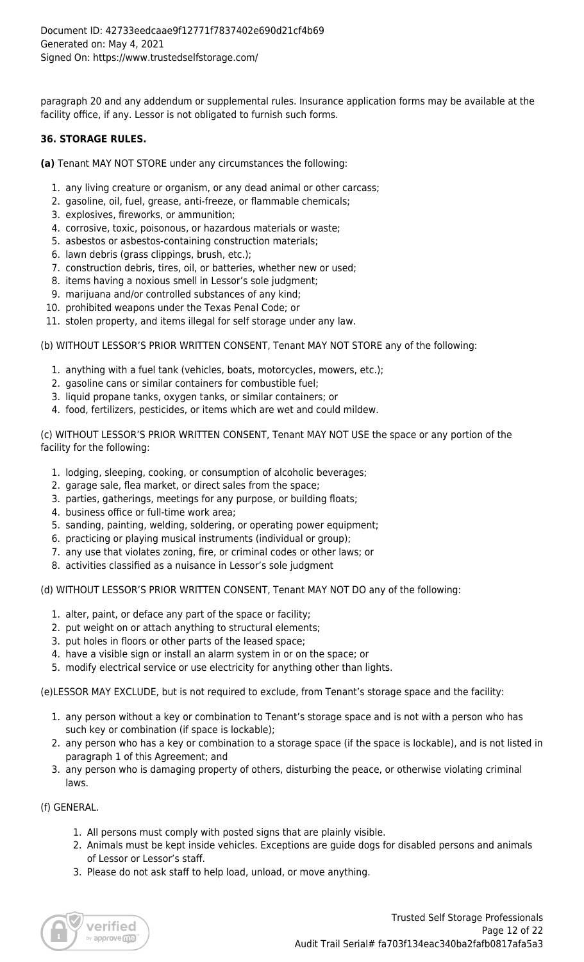paragraph 20 and any addendum or supplemental rules. Insurance application forms may be available at the facility office, if any. Lessor is not obligated to furnish such forms.

# **36. STORAGE RULES.**

**(a)** Tenant MAY NOT STORE under any circumstances the following:

- 1. any living creature or organism, or any dead animal or other carcass;
- 2. gasoline, oil, fuel, grease, anti-freeze, or flammable chemicals;
- 3. explosives, fireworks, or ammunition;
- 4. corrosive, toxic, poisonous, or hazardous materials or waste;
- 5. asbestos or asbestos-containing construction materials;
- 6. lawn debris (grass clippings, brush, etc.);
- 7. construction debris, tires, oil, or batteries, whether new or used;
- 8. items having a noxious smell in Lessor's sole judgment;
- 9. marijuana and/or controlled substances of any kind;
- 10. prohibited weapons under the Texas Penal Code; or
- 11. stolen property, and items illegal for self storage under any law.

(b) WITHOUT LESSOR'S PRIOR WRITTEN CONSENT, Tenant MAY NOT STORE any of the following:

- 1. anything with a fuel tank (vehicles, boats, motorcycles, mowers, etc.);
- 2. gasoline cans or similar containers for combustible fuel;
- 3. liquid propane tanks, oxygen tanks, or similar containers; or
- 4. food, fertilizers, pesticides, or items which are wet and could mildew.

(c) WITHOUT LESSOR'S PRIOR WRITTEN CONSENT, Tenant MAY NOT USE the space or any portion of the facility for the following:

- 1. lodging, sleeping, cooking, or consumption of alcoholic beverages;
- 2. garage sale, flea market, or direct sales from the space;
- 3. parties, gatherings, meetings for any purpose, or building floats;
- 4. business office or full-time work area;
- 5. sanding, painting, welding, soldering, or operating power equipment;
- 6. practicing or playing musical instruments (individual or group);
- 7. any use that violates zoning, fire, or criminal codes or other laws; or
- 8. activities classified as a nuisance in Lessor's sole judgment

(d) WITHOUT LESSOR'S PRIOR WRITTEN CONSENT, Tenant MAY NOT DO any of the following:

- 1. alter, paint, or deface any part of the space or facility;
- 2. put weight on or attach anything to structural elements;
- 3. put holes in floors or other parts of the leased space;
- 4. have a visible sign or install an alarm system in or on the space; or
- 5. modify electrical service or use electricity for anything other than lights.

(e)LESSOR MAY EXCLUDE, but is not required to exclude, from Tenant's storage space and the facility:

- 1. any person without a key or combination to Tenant's storage space and is not with a person who has such key or combination (if space is lockable);
- 2. any person who has a key or combination to a storage space (if the space is lockable), and is not listed in paragraph 1 of this Agreement; and
- 3. any person who is damaging property of others, disturbing the peace, or otherwise violating criminal laws.

(f) GENERAL.

- 1. All persons must comply with posted signs that are plainly visible.
- 2. Animals must be kept inside vehicles. Exceptions are guide dogs for disabled persons and animals of Lessor or Lessor's staff.
- 3. Please do not ask staff to help load, unload, or move anything.

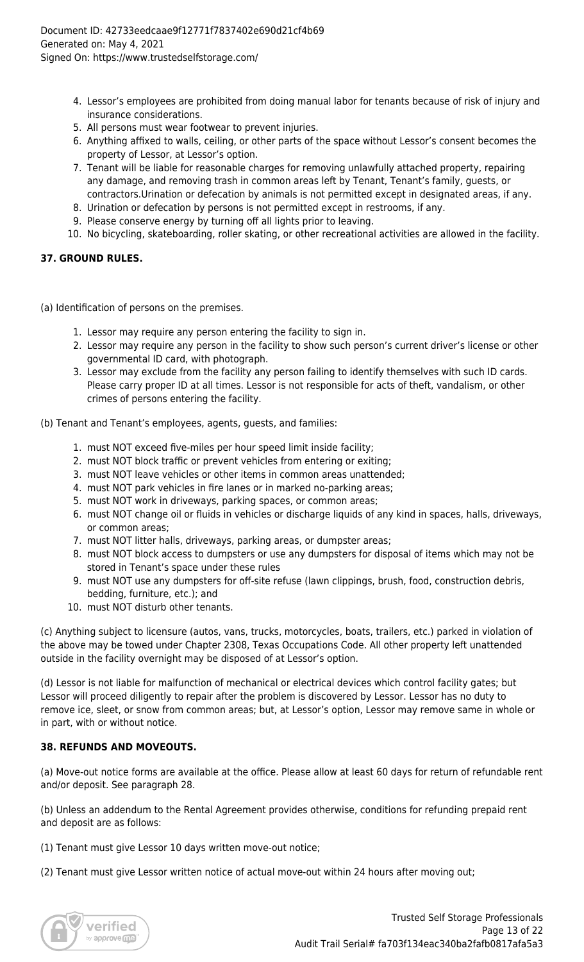- 4. Lessor's employees are prohibited from doing manual labor for tenants because of risk of injury and insurance considerations.
- 5. All persons must wear footwear to prevent injuries.
- 6. Anything affixed to walls, ceiling, or other parts of the space without Lessor's consent becomes the property of Lessor, at Lessor's option.
- 7. Tenant will be liable for reasonable charges for removing unlawfully attached property, repairing any damage, and removing trash in common areas left by Tenant, Tenant's family, guests, or contractors.Urination or defecation by animals is not permitted except in designated areas, if any.
- 8. Urination or defecation by persons is not permitted except in restrooms, if any.
- 9. Please conserve energy by turning off all lights prior to leaving.
- 10. No bicycling, skateboarding, roller skating, or other recreational activities are allowed in the facility.

# **37. GROUND RULES.**

(a) Identification of persons on the premises.

- 1. Lessor may require any person entering the facility to sign in.
- 2. Lessor may require any person in the facility to show such person's current driver's license or other governmental ID card, with photograph.
- 3. Lessor may exclude from the facility any person failing to identify themselves with such ID cards. Please carry proper ID at all times. Lessor is not responsible for acts of theft, vandalism, or other crimes of persons entering the facility.

(b) Tenant and Tenant's employees, agents, guests, and families:

- 1. must NOT exceed five-miles per hour speed limit inside facility;
- 2. must NOT block traffic or prevent vehicles from entering or exiting;
- 3. must NOT leave vehicles or other items in common areas unattended;
- 4. must NOT park vehicles in fire lanes or in marked no-parking areas;
- 5. must NOT work in driveways, parking spaces, or common areas;
- 6. must NOT change oil or fluids in vehicles or discharge liquids of any kind in spaces, halls, driveways, or common areas;
- 7. must NOT litter halls, driveways, parking areas, or dumpster areas;
- 8. must NOT block access to dumpsters or use any dumpsters for disposal of items which may not be stored in Tenant's space under these rules
- 9. must NOT use any dumpsters for off-site refuse (lawn clippings, brush, food, construction debris, bedding, furniture, etc.); and
- 10. must NOT disturb other tenants.

(c) Anything subject to licensure (autos, vans, trucks, motorcycles, boats, trailers, etc.) parked in violation of the above may be towed under Chapter 2308, Texas Occupations Code. All other property left unattended outside in the facility overnight may be disposed of at Lessor's option.

(d) Lessor is not liable for malfunction of mechanical or electrical devices which control facility gates; but Lessor will proceed diligently to repair after the problem is discovered by Lessor. Lessor has no duty to remove ice, sleet, or snow from common areas; but, at Lessor's option, Lessor may remove same in whole or in part, with or without notice.

# **38. REFUNDS AND MOVEOUTS.**

(a) Move-out notice forms are available at the office. Please allow at least 60 days for return of refundable rent and/or deposit. See paragraph 28.

(b) Unless an addendum to the Rental Agreement provides otherwise, conditions for refunding prepaid rent and deposit are as follows:

(1) Tenant must give Lessor 10 days written move-out notice;

(2) Tenant must give Lessor written notice of actual move-out within 24 hours after moving out;

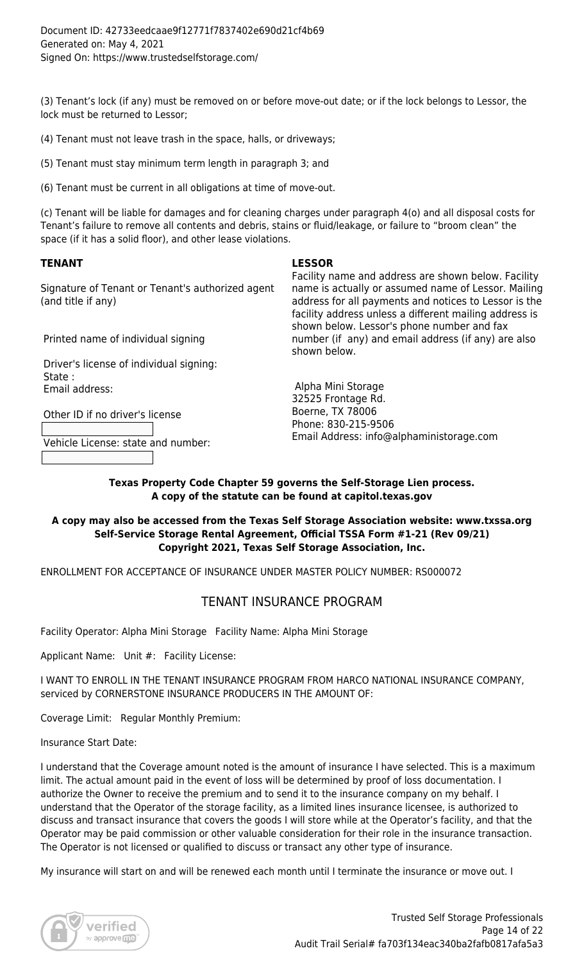(3) Tenant's lock (if any) must be removed on or before move-out date; or if the lock belongs to Lessor, the lock must be returned to Lessor;

(4) Tenant must not leave trash in the space, halls, or driveways;

(5) Tenant must stay minimum term length in paragraph 3; and

(6) Tenant must be current in all obligations at time of move-out.

(c) Tenant will be liable for damages and for cleaning charges under paragraph 4(o) and all disposal costs for Tenant's failure to remove all contents and debris, stains or fluid/leakage, or failure to "broom clean" the space (if it has a solid floor), and other lease violations.

# **TENANT LESSOR**

Signature of Tenant or Tenant's authorized agent (and title if any)

Printed name of individual signing

 Driver's license of individual signing: State : Email address:

Other ID if no driver's license

Vehicle License: state and number:

Facility name and address are shown below. Facility name is actually or assumed name of Lessor. Mailing address for all payments and notices to Lessor is the facility address unless a different mailing address is shown below. Lessor's phone number and fax number (if any) and email address (if any) are also shown below.

 Alpha Mini Storage 32525 Frontage Rd. Boerne, TX 78006 Phone: 830-215-9506 Email Address: info@alphaministorage.com

**Texas Property Code Chapter 59 governs the Self-Storage Lien process. A copy of the statute can be found at capitol.texas.gov**

# **A copy may also be accessed from the Texas Self Storage Association website: www.txssa.org Self-Service Storage Rental Agreement, Official TSSA Form #1-21 (Rev 09/21) Copyright 2021, Texas Self Storage Association, Inc.**

ENROLLMENT FOR ACCEPTANCE OF INSURANCE UNDER MASTER POLICY NUMBER: RS000072

# TENANT INSURANCE PROGRAM

Facility Operator: Alpha Mini Storage Facility Name: Alpha Mini Storage

Applicant Name: Unit #: Facility License:

I WANT TO ENROLL IN THE TENANT INSURANCE PROGRAM FROM HARCO NATIONAL INSURANCE COMPANY, serviced by CORNERSTONE INSURANCE PRODUCERS IN THE AMOUNT OF:

Coverage Limit: Regular Monthly Premium:

Insurance Start Date:

I understand that the Coverage amount noted is the amount of insurance I have selected. This is a maximum limit. The actual amount paid in the event of loss will be determined by proof of loss documentation. I authorize the Owner to receive the premium and to send it to the insurance company on my behalf. I understand that the Operator of the storage facility, as a limited lines insurance licensee, is authorized to discuss and transact insurance that covers the goods I will store while at the Operator's facility, and that the Operator may be paid commission or other valuable consideration for their role in the insurance transaction. The Operator is not licensed or qualified to discuss or transact any other type of insurance.

My insurance will start on and will be renewed each month until I terminate the insurance or move out. I

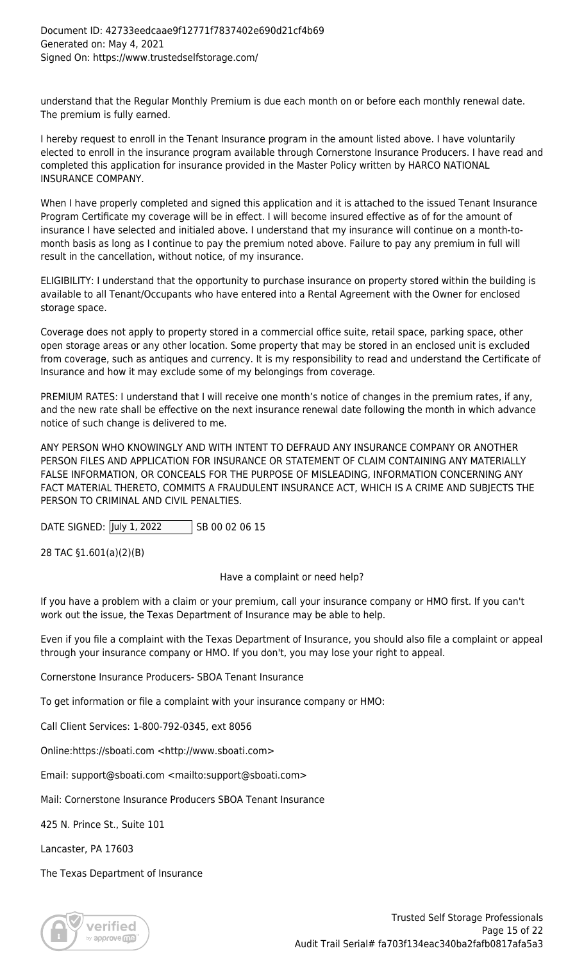understand that the Regular Monthly Premium is due each month on or before each monthly renewal date. The premium is fully earned.

I hereby request to enroll in the Tenant Insurance program in the amount listed above. I have voluntarily elected to enroll in the insurance program available through Cornerstone Insurance Producers. I have read and completed this application for insurance provided in the Master Policy written by HARCO NATIONAL INSURANCE COMPANY.

When I have properly completed and signed this application and it is attached to the issued Tenant Insurance Program Certificate my coverage will be in effect. I will become insured effective as of for the amount of insurance I have selected and initialed above. I understand that my insurance will continue on a month‐to‐ month basis as long as I continue to pay the premium noted above. Failure to pay any premium in full will result in the cancellation, without notice, of my insurance.

ELIGIBILITY: I understand that the opportunity to purchase insurance on property stored within the building is available to all Tenant/Occupants who have entered into a Rental Agreement with the Owner for enclosed storage space.

Coverage does not apply to property stored in a commercial office suite, retail space, parking space, other open storage areas or any other location. Some property that may be stored in an enclosed unit is excluded from coverage, such as antiques and currency. It is my responsibility to read and understand the Certificate of Insurance and how it may exclude some of my belongings from coverage.

PREMIUM RATES: I understand that I will receive one month's notice of changes in the premium rates, if any, and the new rate shall be effective on the next insurance renewal date following the month in which advance notice of such change is delivered to me.

ANY PERSON WHO KNOWINGLY AND WITH INTENT TO DEFRAUD ANY INSURANCE COMPANY OR ANOTHER PERSON FILES AND APPLICATION FOR INSURANCE OR STATEMENT OF CLAIM CONTAINING ANY MATERIALLY FALSE INFORMATION, OR CONCEALS FOR THE PURPOSE OF MISLEADING, INFORMATION CONCERNING ANY FACT MATERIAL THERETO, COMMITS A FRAUDULENT INSURANCE ACT, WHICH IS A CRIME AND SUBJECTS THE PERSON TO CRIMINAL AND CIVIL PENALTIES.

DATE SIGNED: July 1, 2022 SB 00 02 06 15

28 TAC §1.601(a)(2)(B)

Have a complaint or need help?

If you have a problem with a claim or your premium, call your insurance company or HMO first. If you can't work out the issue, the Texas Department of Insurance may be able to help.

Even if you file a complaint with the Texas Department of Insurance, you should also file a complaint or appeal through your insurance company or HMO. If you don't, you may lose your right to appeal.

Cornerstone Insurance Producers- SBOA Tenant Insurance

To get information or file a complaint with your insurance company or HMO:

Call Client Services: 1-800-792-0345, ext 8056

Online[:https://sboati.com](https://sboati.com) <<http://www.sboati.com>>

Email: [support@sboati.com](http://support@sboati.com) <<mailto:support@sboati.com>>

Mail: Cornerstone Insurance Producers SBOA Tenant Insurance

425 N. Prince St., Suite 101

Lancaster, PA 17603

The Texas Department of Insurance

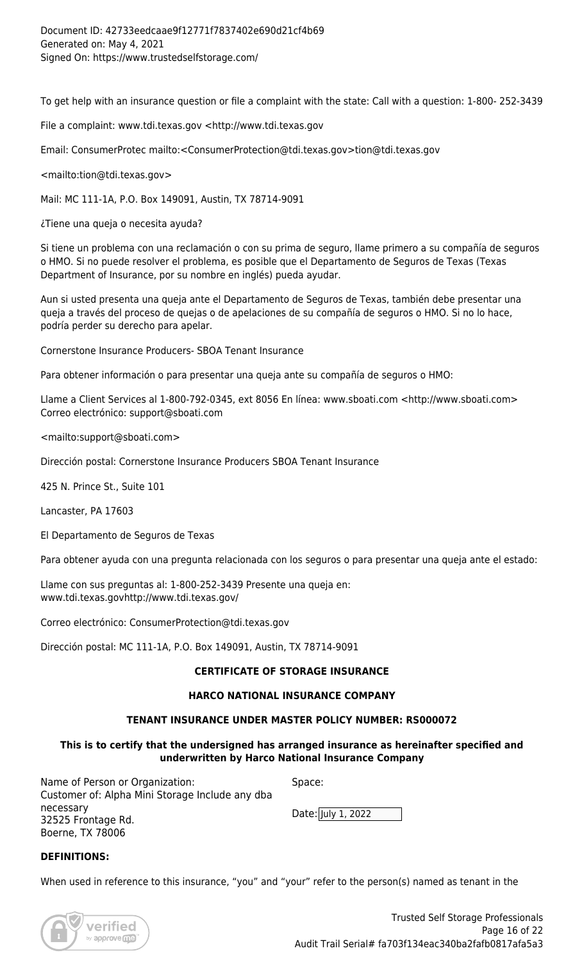To get help with an insurance question or file a complaint with the state: Call with a question: 1-800- 252-3439

File a complaint: [www.tdi.texas.gov](http://www.tdi.texas.gov) <<http://www.tdi.texas.gov>

Email: ConsumerProtec mailto:<[ConsumerProtection@tdi.texas.gov](http://ConsumerProtection@tdi.texas.gov)[>tion@tdi.texas.gov](http://tion@tdi.texas.gov)

<mailto[:tion@tdi.texas.gov>](http://tion@tdi.texas.gov>)

Mail: MC 111-1A, P.O. Box 149091, Austin, TX 78714-9091

¿Tiene una queja o necesita ayuda?

Si tiene un problema con una reclamación o con su prima de seguro, llame primero a su compañía de seguros o HMO. Si no puede resolver el problema, es posible que el Departamento de Seguros de Texas (Texas Department of Insurance, por su nombre en inglés) pueda ayudar.

Aun si usted presenta una queja ante el Departamento de Seguros de Texas, también debe presentar una queja a través del proceso de quejas o de apelaciones de su compañía de seguros o HMO. Si no lo hace, podría perder su derecho para apelar.

Cornerstone Insurance Producers- SBOA Tenant Insurance

Para obtener información o para presentar una queja ante su compañía de seguros o HMO:

Llame a Client Services al 1-800-792-0345, ext 8056 En línea: [www.sboati.com](http://www.sboati.com) [<http://www.sboati.com](http://www.sboati.com)> Correo electrónico: [support@sboati.com](http://support@sboati.com)

<mailto[:support@sboati.com](http://support@sboati.com)>

Dirección postal: Cornerstone Insurance Producers SBOA Tenant Insurance

425 N. Prince St., Suite 101

Lancaster, PA 17603

El Departamento de Seguros de Texas

Para obtener ayuda con una pregunta relacionada con los seguros o para presentar una queja ante el estado:

Llame con sus preguntas al: 1-800-252-3439 Presente una queja en: [www.tdi.texas.gov](http://www.tdi.texas.gov)<http://www.tdi.texas.gov/>

Correo electrónico: [ConsumerProtection@tdi.texas.gov](http://ConsumerProtection@tdi.texas.gov)

Dirección postal: MC 111-1A, P.O. Box 149091, Austin, TX 78714-9091

# **CERTIFICATE OF STORAGE INSURANCE**

## **HARCO NATIONAL INSURANCE COMPANY**

## **TENANT INSURANCE UNDER MASTER POLICY NUMBER: RS000072**

## **This is to certify that the undersigned has arranged insurance as hereinafter specified and underwritten by Harco National Insurance Company**

Name of Person or Organization: Customer of: Alpha Mini Storage Include any dba necessary 32525 Frontage Rd. Boerne, TX 78006

| space:             |  |
|--------------------|--|
| Date: July 1, 2022 |  |

## **DEFINITIONS:**

When used in reference to this insurance, "you" and "your" refer to the person(s) named as tenant in the

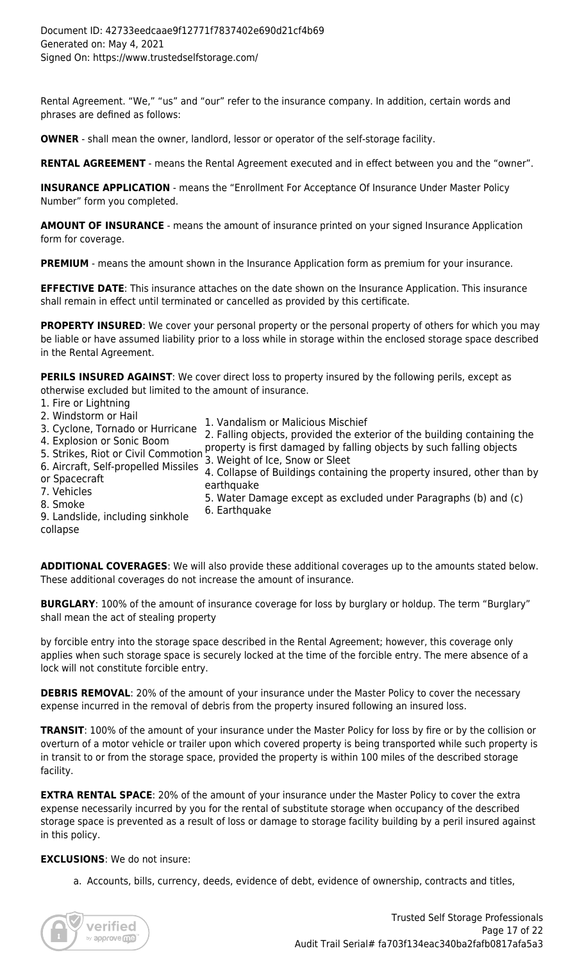Rental Agreement. "We," "us" and "our" refer to the insurance company. In addition, certain words and phrases are defined as follows:

**OWNER** - shall mean the owner, landlord, lessor or operator of the self-storage facility.

**RENTAL AGREEMENT** - means the Rental Agreement executed and in effect between you and the "owner".

**INSURANCE APPLICATION** - means the "Enrollment For Acceptance Of Insurance Under Master Policy Number" form you completed.

**AMOUNT OF INSURANCE** - means the amount of insurance printed on your signed Insurance Application form for coverage.

**PREMIUM** - means the amount shown in the Insurance Application form as premium for your insurance.

**EFFECTIVE DATE**: This insurance attaches on the date shown on the Insurance Application. This insurance shall remain in effect until terminated or cancelled as provided by this certificate.

**PROPERTY INSURED**: We cover your personal property or the personal property of others for which you may be liable or have assumed liability prior to a loss while in storage within the enclosed storage space described in the Rental Agreement.

**PERILS INSURED AGAINST**: We cover direct loss to property insured by the following perils, except as otherwise excluded but limited to the amount of insurance.

- 1. Fire or Lightning
- 2. Windstorm or Hail
- 1. Vandalism or Malicious Mischief

6. Earthquake

3. Cyclone, Tornado or Hurricane 4. Explosion or Sonic Boom 2. Falling objects, provided the exterior of the building containing the

4. Expresion of Some Boom<br>5. Strikes, Riot or Civil Commotion 2, Mojeht of Ico, Snow or Sloot

- 6. Aircraft, Self-propelled Missiles 3. Weight of Ice, Snow or Sleet
- 
- or Ancidit, Sch-properica Missiles 4. Collapse of Buildings containing the property insured, other than by<br>orthauske earthquake
	- 5. Water Damage except as excluded under Paragraphs (b) and (c)
- 8. Smoke 9. Landslide, including sinkhole
- collapse

7. Vehicles

**ADDITIONAL COVERAGES**: We will also provide these additional coverages up to the amounts stated below. These additional coverages do not increase the amount of insurance.

**BURGLARY**: 100% of the amount of insurance coverage for loss by burglary or holdup. The term "Burglary" shall mean the act of stealing property

by forcible entry into the storage space described in the Rental Agreement; however, this coverage only applies when such storage space is securely locked at the time of the forcible entry. The mere absence of a lock will not constitute forcible entry.

**DEBRIS REMOVAL:** 20% of the amount of your insurance under the Master Policy to cover the necessary expense incurred in the removal of debris from the property insured following an insured loss.

**TRANSIT**: 100% of the amount of your insurance under the Master Policy for loss by fire or by the collision or overturn of a motor vehicle or trailer upon which covered property is being transported while such property is in transit to or from the storage space, provided the property is within 100 miles of the described storage facility.

**EXTRA RENTAL SPACE:** 20% of the amount of your insurance under the Master Policy to cover the extra expense necessarily incurred by you for the rental of substitute storage when occupancy of the described storage space is prevented as a result of loss or damage to storage facility building by a peril insured against in this policy.

## **EXCLUSIONS**: We do not insure:

a. Accounts, bills, currency, deeds, evidence of debt, evidence of ownership, contracts and titles,

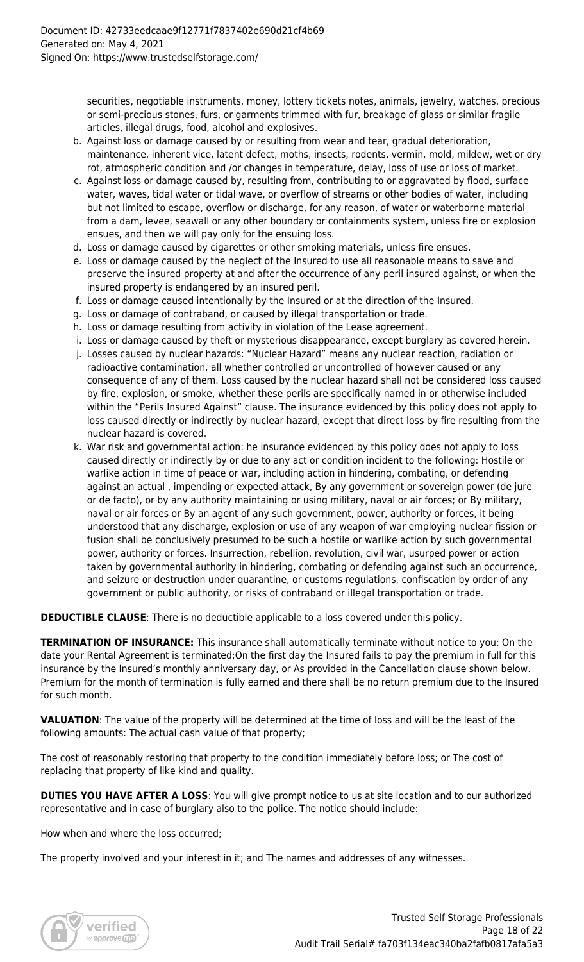securities, negotiable instruments, money, lottery tickets notes, animals, jewelry, watches, precious or semi-precious stones, furs, or garments trimmed with fur, breakage of glass or similar fragile articles, illegal drugs, food, alcohol and explosives.

- b. Against loss or damage caused by or resulting from wear and tear, gradual deterioration, maintenance, inherent vice, latent defect, moths, insects, rodents, vermin, mold, mildew, wet or dry rot, atmospheric condition and /or changes in temperature, delay, loss of use or loss of market.
- c. Against loss or damage caused by, resulting from, contributing to or aggravated by flood, surface water, waves, tidal water or tidal wave, or overflow of streams or other bodies of water, including but not limited to escape, overflow or discharge, for any reason, of water or waterborne material from a dam, levee, seawall or any other boundary or containments system, unless fire or explosion ensues, and then we will pay only for the ensuing loss.
- d. Loss or damage caused by cigarettes or other smoking materials, unless fire ensues.
- e. Loss or damage caused by the neglect of the Insured to use all reasonable means to save and preserve the insured property at and after the occurrence of any peril insured against, or when the insured property is endangered by an insured peril.
- f. Loss or damage caused intentionally by the Insured or at the direction of the Insured.
- g. Loss or damage of contraband, or caused by illegal transportation or trade.
- h. Loss or damage resulting from activity in violation of the Lease agreement.
- i. Loss or damage caused by theft or mysterious disappearance, except burglary as covered herein.
- j. Losses caused by nuclear hazards: "Nuclear Hazard" means any nuclear reaction, radiation or radioactive contamination, all whether controlled or uncontrolled of however caused or any consequence of any of them. Loss caused by the nuclear hazard shall not be considered loss caused by fire, explosion, or smoke, whether these perils are specifically named in or otherwise included within the "Perils Insured Against" clause. The insurance evidenced by this policy does not apply to loss caused directly or indirectly by nuclear hazard, except that direct loss by fire resulting from the nuclear hazard is covered.
- k. War risk and governmental action: he insurance evidenced by this policy does not apply to loss caused directly or indirectly by or due to any act or condition incident to the following: Hostile or warlike action in time of peace or war, including action in hindering, combating, or defending against an actual , impending or expected attack, By any government or sovereign power (de jure or de facto), or by any authority maintaining or using military, naval or air forces; or By military, naval or air forces or By an agent of any such government, power, authority or forces, it being understood that any discharge, explosion or use of any weapon of war employing nuclear fission or fusion shall be conclusively presumed to be such a hostile or warlike action by such governmental power, authority or forces. Insurrection, rebellion, revolution, civil war, usurped power or action taken by governmental authority in hindering, combating or defending against such an occurrence, and seizure or destruction under quarantine, or customs regulations, confiscation by order of any government or public authority, or risks of contraband or illegal transportation or trade.

**DEDUCTIBLE CLAUSE:** There is no deductible applicable to a loss covered under this policy.

**TERMINATION OF INSURANCE:** This insurance shall automatically terminate without notice to you: On the date your Rental Agreement is terminated;On the first day the Insured fails to pay the premium in full for this insurance by the Insured's monthly anniversary day, or As provided in the Cancellation clause shown below. Premium for the month of termination is fully earned and there shall be no return premium due to the Insured for such month.

**VALUATION**: The value of the property will be determined at the time of loss and will be the least of the following amounts: The actual cash value of that property;

The cost of reasonably restoring that property to the condition immediately before loss; or The cost of replacing that property of like kind and quality.

**DUTIES YOU HAVE AFTER A LOSS**: You will give prompt notice to us at site location and to our authorized representative and in case of burglary also to the police. The notice should include:

How when and where the loss occurred;

The property involved and your interest in it; and The names and addresses of any witnesses.

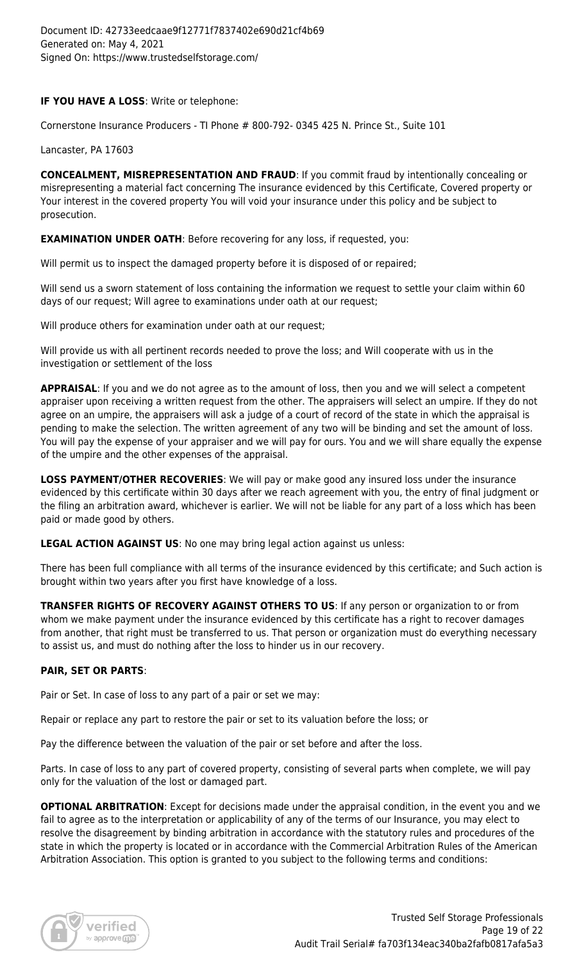# **IF YOU HAVE A LOSS**: Write or telephone:

Cornerstone Insurance Producers - TI Phone # 800-792- 0345 425 N. Prince St., Suite 101

Lancaster, PA 17603

**CONCEALMENT, MISREPRESENTATION AND FRAUD**: If you commit fraud by intentionally concealing or misrepresenting a material fact concerning The insurance evidenced by this Certificate, Covered property or Your interest in the covered property You will void your insurance under this policy and be subject to prosecution.

**EXAMINATION UNDER OATH: Before recovering for any loss, if requested, you:** 

Will permit us to inspect the damaged property before it is disposed of or repaired;

Will send us a sworn statement of loss containing the information we request to settle your claim within 60 days of our request; Will agree to examinations under oath at our request;

Will produce others for examination under oath at our request;

Will provide us with all pertinent records needed to prove the loss; and Will cooperate with us in the investigation or settlement of the loss

**APPRAISAL:** If you and we do not agree as to the amount of loss, then you and we will select a competent appraiser upon receiving a written request from the other. The appraisers will select an umpire. If they do not agree on an umpire, the appraisers will ask a judge of a court of record of the state in which the appraisal is pending to make the selection. The written agreement of any two will be binding and set the amount of loss. You will pay the expense of your appraiser and we will pay for ours. You and we will share equally the expense of the umpire and the other expenses of the appraisal.

**LOSS PAYMENT/OTHER RECOVERIES**: We will pay or make good any insured loss under the insurance evidenced by this certificate within 30 days after we reach agreement with you, the entry of final judgment or the filing an arbitration award, whichever is earlier. We will not be liable for any part of a loss which has been paid or made good by others.

**LEGAL ACTION AGAINST US**: No one may bring legal action against us unless:

There has been full compliance with all terms of the insurance evidenced by this certificate; and Such action is brought within two years after you first have knowledge of a loss.

**TRANSFER RIGHTS OF RECOVERY AGAINST OTHERS TO US**: If any person or organization to or from whom we make payment under the insurance evidenced by this certificate has a right to recover damages from another, that right must be transferred to us. That person or organization must do everything necessary to assist us, and must do nothing after the loss to hinder us in our recovery.

# **PAIR, SET OR PARTS**:

Pair or Set. In case of loss to any part of a pair or set we may:

Repair or replace any part to restore the pair or set to its valuation before the loss; or

Pay the difference between the valuation of the pair or set before and after the loss.

Parts. In case of loss to any part of covered property, consisting of several parts when complete, we will pay only for the valuation of the lost or damaged part.

**OPTIONAL ARBITRATION**: Except for decisions made under the appraisal condition, in the event you and we fail to agree as to the interpretation or applicability of any of the terms of our Insurance, you may elect to resolve the disagreement by binding arbitration in accordance with the statutory rules and procedures of the state in which the property is located or in accordance with the Commercial Arbitration Rules of the American Arbitration Association. This option is granted to you subject to the following terms and conditions:

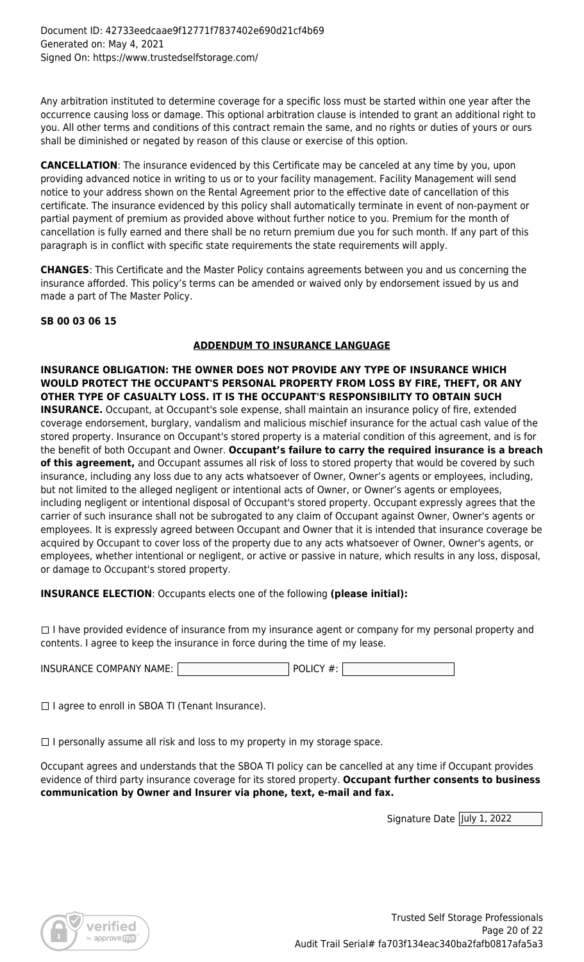Any arbitration instituted to determine coverage for a specific loss must be started within one year after the occurrence causing loss or damage. This optional arbitration clause is intended to grant an additional right to you. All other terms and conditions of this contract remain the same, and no rights or duties of yours or ours shall be diminished or negated by reason of this clause or exercise of this option.

**CANCELLATION**: The insurance evidenced by this Certificate may be canceled at any time by you, upon providing advanced notice in writing to us or to your facility management. Facility Management will send notice to your address shown on the Rental Agreement prior to the effective date of cancellation of this certificate. The insurance evidenced by this policy shall automatically terminate in event of non-payment or partial payment of premium as provided above without further notice to you. Premium for the month of cancellation is fully earned and there shall be no return premium due you for such month. If any part of this paragraph is in conflict with specific state requirements the state requirements will apply.

**CHANGES**: This Certificate and the Master Policy contains agreements between you and us concerning the insurance afforded. This policy's terms can be amended or waived only by endorsement issued by us and made a part of The Master Policy.

# **SB 00 03 06 15**

# **ADDENDUM TO INSURANCE LANGUAGE**

**INSURANCE OBLIGATION: THE OWNER DOES NOT PROVIDE ANY TYPE OF INSURANCE WHICH WOULD PROTECT THE OCCUPANT'S PERSONAL PROPERTY FROM LOSS BY FIRE, THEFT, OR ANY OTHER TYPE OF CASUALTY LOSS. IT IS THE OCCUPANT'S RESPONSIBILITY TO OBTAIN SUCH**

**INSURANCE.** Occupant, at Occupant's sole expense, shall maintain an insurance policy of fire, extended coverage endorsement, burglary, vandalism and malicious mischief insurance for the actual cash value of the stored property. Insurance on Occupant's stored property is a material condition of this agreement, and is for the benefit of both Occupant and Owner. **Occupant's failure to carry the required insurance is a breach of this agreement,** and Occupant assumes all risk of loss to stored property that would be covered by such insurance, including any loss due to any acts whatsoever of Owner, Owner's agents or employees, including, but not limited to the alleged negligent or intentional acts of Owner, or Owner's agents or employees, including negligent or intentional disposal of Occupant's stored property. Occupant expressly agrees that the carrier of such insurance shall not be subrogated to any claim of Occupant against Owner, Owner's agents or employees. It is expressly agreed between Occupant and Owner that it is intended that insurance coverage be acquired by Occupant to cover loss of the property due to any acts whatsoever of Owner, Owner's agents, or employees, whether intentional or negligent, or active or passive in nature, which results in any loss, disposal, or damage to Occupant's stored property.

**INSURANCE ELECTION**: Occupants elects one of the following **(please initial):**

 $\Box$  I have provided evidence of insurance from my insurance agent or company for my personal property and contents. I agree to keep the insurance in force during the time of my lease.

INSURANCE COMPANY NAME:  $|$  POLICY #:

 $\Box$  I agree to enroll in SBOA TI (Tenant Insurance).

 $\Box$  I personally assume all risk and loss to my property in my storage space.

Occupant agrees and understands that the SBOA TI policy can be cancelled at any time if Occupant provides evidence of third party insurance coverage for its stored property. **Occupant further consents to business communication by Owner and Insurer via phone, text, e‐mail and fax.**

Signature Date July 1, 2022

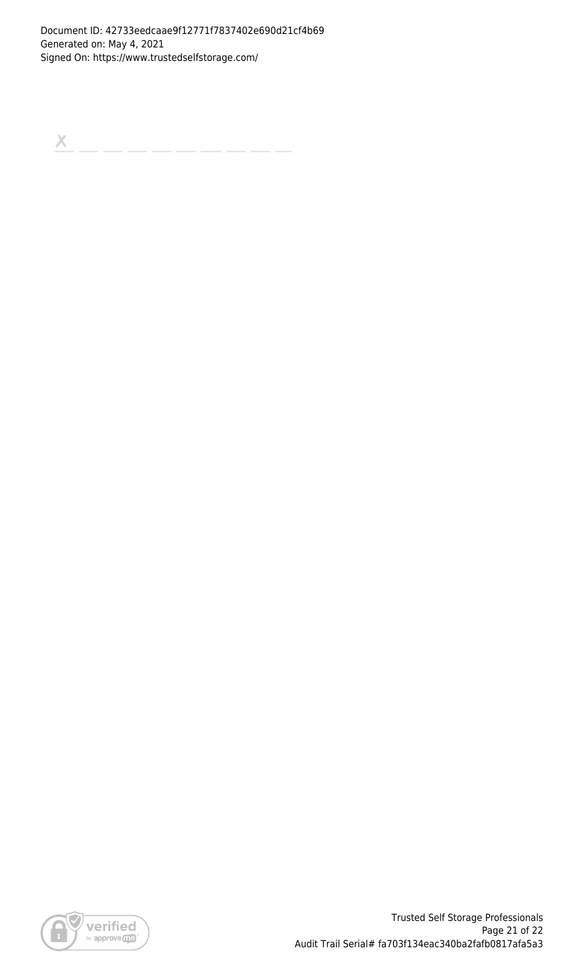$\boldsymbol{\times}$